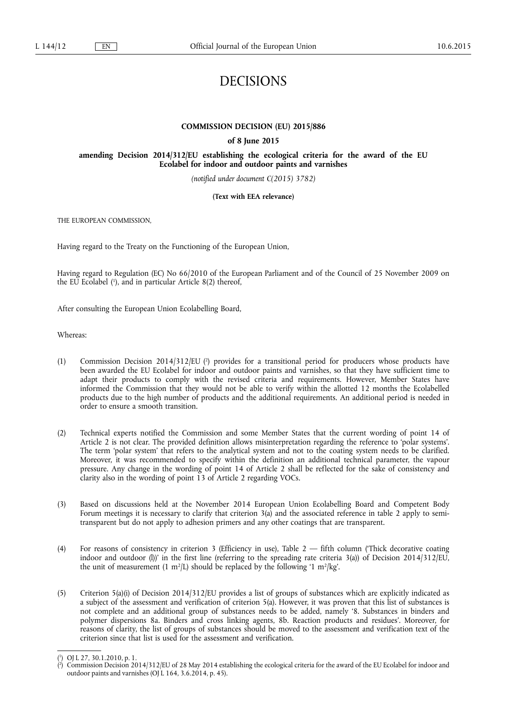# DECISIONS

## **COMMISSION DECISION (EU) 2015/886**

## **of 8 June 2015**

## **amending Decision 2014/312/EU establishing the ecological criteria for the award of the EU Ecolabel for indoor and outdoor paints and varnishes**

*(notified under document C(2015) 3782)* 

#### **(Text with EEA relevance)**

THE EUROPEAN COMMISSION,

Having regard to the Treaty on the Functioning of the European Union,

Having regard to Regulation (EC) No 66/2010 of the European Parliament and of the Council of 25 November 2009 on the EU Ecolabel ( 1 ), and in particular Article 8(2) thereof,

After consulting the European Union Ecolabelling Board,

Whereas:

- (1) Commission Decision 2014/312/EU ( $\textdegree$ ) provides for a transitional period for producers whose products have been awarded the EU Ecolabel for indoor and outdoor paints and varnishes, so that they have sufficient time to adapt their products to comply with the revised criteria and requirements. However, Member States have informed the Commission that they would not be able to verify within the allotted 12 months the Ecolabelled products due to the high number of products and the additional requirements. An additional period is needed in order to ensure a smooth transition.
- (2) Technical experts notified the Commission and some Member States that the current wording of point 14 of Article 2 is not clear. The provided definition allows misinterpretation regarding the reference to 'polar systems'. The term 'polar system' that refers to the analytical system and not to the coating system needs to be clarified. Moreover, it was recommended to specify within the definition an additional technical parameter, the vapour pressure. Any change in the wording of point 14 of Article 2 shall be reflected for the sake of consistency and clarity also in the wording of point 13 of Article 2 regarding VOCs.
- (3) Based on discussions held at the November 2014 European Union Ecolabelling Board and Competent Body Forum meetings it is necessary to clarify that criterion 3(a) and the associated reference in table 2 apply to semitransparent but do not apply to adhesion primers and any other coatings that are transparent.
- (4) For reasons of consistency in criterion 3 (Efficiency in use), Table 2 fifth column ('Thick decorative coating indoor and outdoor (l))' in the first line (referring to the spreading rate criteria 3(a)) of Decision 2014/312/EU, the unit of measurement (1 m<sup>2</sup>/L) should be replaced by the following '1 m<sup>2</sup>/kg'.
- (5) Criterion 5(a)(i) of Decision 2014/312/EU provides a list of groups of substances which are explicitly indicated as a subject of the assessment and verification of criterion 5(a). However, it was proven that this list of substances is not complete and an additional group of substances needs to be added, namely '8. Substances in binders and polymer dispersions 8a. Binders and cross linking agents, 8b. Reaction products and residues'. Moreover, for reasons of clarity, the list of groups of substances should be moved to the assessment and verification text of the criterion since that list is used for the assessment and verification.

<sup>(</sup> 1 ) OJ L 27, 30.1.2010, p. 1.

<sup>(</sup> 2 ) Commission Decision 2014/312/EU of 28 May 2014 establishing the ecological criteria for the award of the EU Ecolabel for indoor and outdoor paints and varnishes (OJ L 164, 3.6.2014, p. 45).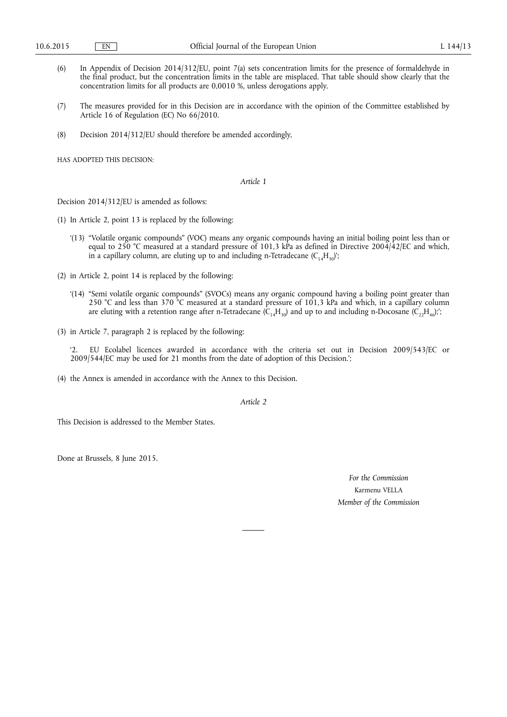- (6) In Appendix of Decision 2014/312/EU, point 7(a) sets concentration limits for the presence of formaldehyde in the final product, but the concentration limits in the table are misplaced. That table should show clearly that the concentration limits for all products are 0,0010 %, unless derogations apply.
- (7) The measures provided for in this Decision are in accordance with the opinion of the Committee established by Article 16 of Regulation (EC) No 66/2010.
- (8) Decision 2014/312/EU should therefore be amended accordingly,

HAS ADOPTED THIS DECISION:

*Article 1* 

Decision 2014/312/EU is amended as follows:

- (1) In Article 2, point 13 is replaced by the following:
	- '(13) "Volatile organic compounds" (VOC) means any organic compounds having an initial boiling point less than or equal to 250 °C measured at a standard pressure of 101,3 kPa as defined in Directive 2004/42/EC and which, in a capillary column, are eluting up to and including n-Tetradecane  $(C_{14}H_{30})$ ;
- (2) in Article 2, point 14 is replaced by the following:
	- '(14) "Semi volatile organic compounds" (SVOCs) means any organic compound having a boiling point greater than 250 °C and less than 370 °C measured at a standard pressure of 101,3 kPa and which, in a capillary column are eluting with a retention range after n-Tetradecane  $(C_{14}H_{30})$  and up to and including n-Docosane  $(C_2,H_{46})$ ;
- (3) in Article 7, paragraph 2 is replaced by the following:

'2. EU Ecolabel licences awarded in accordance with the criteria set out in Decision 2009/543/EC or 2009/544/EC may be used for 21 months from the date of adoption of this Decision.';

(4) the Annex is amended in accordance with the Annex to this Decision.

*Article 2* 

This Decision is addressed to the Member States.

Done at Brussels, 8 June 2015.

*For the Commission*  Karmenu VELLA *Member of the Commission*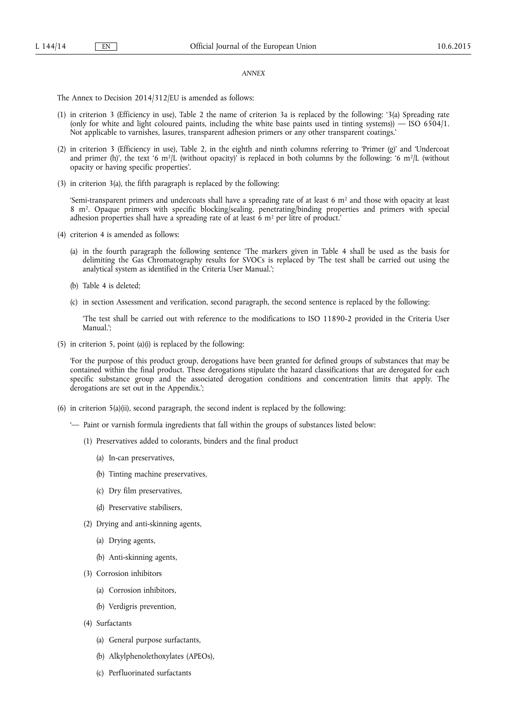#### *ANNEX*

The Annex to Decision 2014/312/EU is amended as follows:

- (1) in criterion 3 (Efficiency in use), Table 2 the name of criterion 3a is replaced by the following: '3(a) Spreading rate (only for white and light coloured paints, including the white base paints used in tinting systems)) — ISO 6504/1. Not applicable to varnishes, lasures, transparent adhesion primers or any other transparent coatings.'
- (2) in criterion 3 (Efficiency in use), Table 2, in the eighth and ninth columns referring to 'Primer (g)' and 'Undercoat and primer (h)', the text '6 m<sup>2</sup>/L (without opacity)' is replaced in both columns by the following: '6 m<sup>2</sup>/L (without opacity or having specific properties'.
- (3) in criterion 3(a), the fifth paragraph is replaced by the following:

'Semi-transparent primers and undercoats shall have a spreading rate of at least  $6 \text{ m}^2$  and those with opacity at least 8 m2. Opaque primers with specific blocking/sealing, penetrating/binding properties and primers with special adhesion properties shall have a spreading rate of at least 6 m<sup>2</sup> per litre of product.'

- (4) criterion 4 is amended as follows:
	- (a) in the fourth paragraph the following sentence 'The markers given in Table 4 shall be used as the basis for delimiting the Gas Chromatography results for SVOCs is replaced by 'The test shall be carried out using the analytical system as identified in the Criteria User Manual.';
	- (b) Table 4 is deleted;
	- (c) in section Assessment and verification, second paragraph, the second sentence is replaced by the following:

'The test shall be carried out with reference to the modifications to ISO 11890-2 provided in the Criteria User Manual.';

(5) in criterion 5, point (a)(i) is replaced by the following:

'For the purpose of this product group, derogations have been granted for defined groups of substances that may be contained within the final product. These derogations stipulate the hazard classifications that are derogated for each specific substance group and the associated derogation conditions and concentration limits that apply. The derogations are set out in the Appendix.';

- (6) in criterion 5(a)(ii), second paragraph, the second indent is replaced by the following:
	- '— Paint or varnish formula ingredients that fall within the groups of substances listed below:
		- (1) Preservatives added to colorants, binders and the final product
			- (a) In-can preservatives,
			- (b) Tinting machine preservatives,
			- (c) Dry film preservatives,
			- (d) Preservative stabilisers,
		- (2) Drying and anti-skinning agents,
			- (a) Drying agents,
			- (b) Anti-skinning agents,
		- (3) Corrosion inhibitors
			- (a) Corrosion inhibitors,
			- (b) Verdigris prevention,
		- (4) Surfactants
			- (a) General purpose surfactants,
			- (b) Alkylphenolethoxylates (APEOs),
			- (c) Perfluorinated surfactants